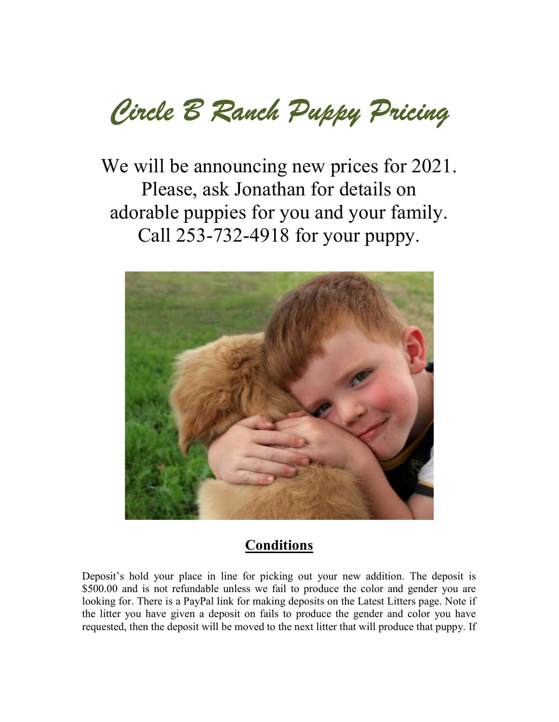Circle B Ranch Puppy Pricing

We will be announcing new prices for 2021. Please, ask Jonathan for details on adorable puppies for you and your family. Call 253-732-4918 for your puppy.



## **Conditions**

Deposit's hold your place in line for picking out your new addition. The deposit is \$500.00 and is not refundable unless we fail to produce the color and gender you are looking for. There is a PayPal link for making deposits on the Latest Litters page. Note if the litter you have given a deposit on fails to produce the gender and color you have requested, then the deposit will be moved to the next litter that will produce that puppy. If